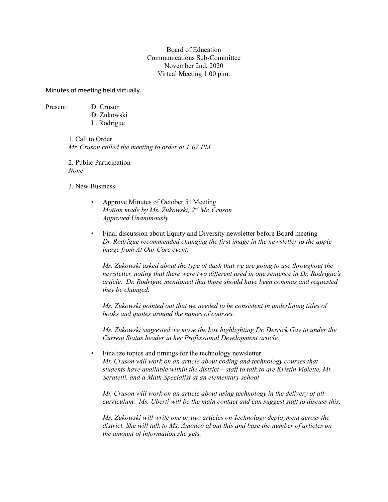Board of Education Communications Sub-Committee November 2nd, 2020 Virtual Meeting 1:00 p.m.

Minutes of meeting held virtually.

Present: D. Cruson

D. Zukowski L. Rodrigue

1. Call to Order *Mr. Cruson called the meeting to order at 1:07 PM*

2. Public Participation *None*

3. New Business

- Approve Minutes of October  $5<sup>th</sup>$  Meeting *Motion made by Ms. Zukowski, 2nd Mr. Cruson Approved Unanimously*
- Final discussion about Equity and Diversity newsletter before Board meeting *Dr. Rodrigue recommended changing the first image in the newsletter to the apple image from At Our Core event.*

*Ms. Zukowski asked about the type of dash that we are going to use throughout the newsletter, noting that there were two different used in one sentence in Dr. Rodrigue's article. Dr. Rodrigue mentioned that those should have been commas and requested they be changed.*

*Ms. Zukowski pointed out that we needed to be consistent in underlining titles of books and quotes around the names of courses.*

*Ms. Zukowski suggested we move the box highlighting Dr. Derrick Gay to under the Current Status header in her Professional Development article.*

Finalize topics and timings for the technology newsletter *Mr. Cruson will work on an article about coding and technology courses that students have available within the district – staff to talk to are Kristin Violette, Mr. Seratelli, and a Math Specialist at an elementary school*

*Mr. Cruson will work on an article about using technology in the delivery of all curriculum. Ms. Uberti will be the main contact and can suggest staff to discuss this.*

*Ms. Zukowski will write one or two articles on Technology deployment across the district. She will talk to Ms. Amodeo about this and base the number of articles on the amount of information she gets.*